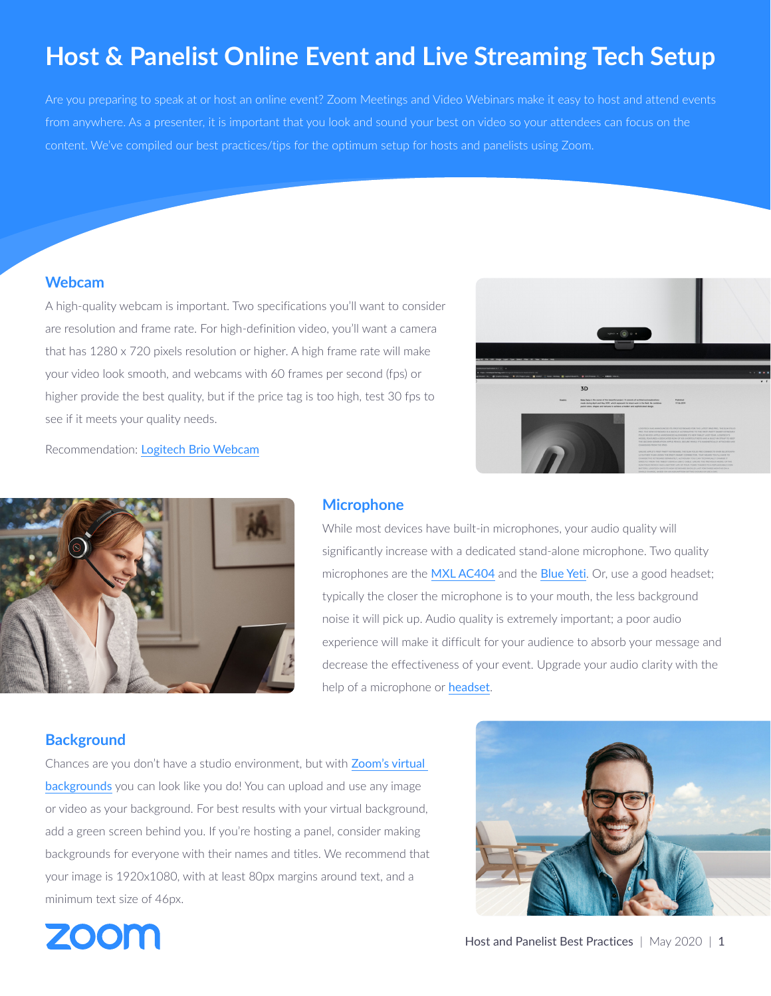# **Host & Panelist Online Event and Live Streaming Tech Setup**

Are you preparing to speak at or host an online event? Zoom Meetings and Video Webinars make it easy to host and attend events from anywhere. As a presenter, it is important that you look and sound your best on video so your attendees can focus on the content. We've compiled our best practices/tips for the optimum setup for hosts and panelists using Zoom.

## **Webcam**

A high-quality webcam is important. Two specifications you'll want to consider are resolution and frame rate. For high-definition video, you'll want a camera that has 1280 x 720 pixels resolution or higher. A high frame rate will make your video look smooth, and webcams with 60 frames per second (fps) or higher provide the best quality, but if the price tag is too high, test 30 fps to see if it meets your quality needs.



Recommendation: [Logitech Brio Webcam](https://www.logitech.com/en-us/webcams?filters=3801)



## **Microphone**

While most devices have built-in microphones, your audio quality will significantly increase with a dedicated stand-alone microphone. Two quality microphones are the [MXL AC404](http://www.mxlmics.com/microphones/web-conferencing/AC-404/) and the [Blue Yeti](https://www.bluedesigns.com/products/yeti/). Or, use a good headset; typically the closer the microphone is to your mouth, the less background noise it will pick up. Audio quality is extremely important; a poor audio experience will make it difficult for your audience to absorb your message and decrease the effectiveness of your event. Upgrade your audio clarity with the help of a microphone or **[headset](https://zoom.us/docs/en-us/zoom-phone-hardware.html)**.

## **Background**

Chances are you don't have a studio environment, but with **Zoom's virtual** [backgrounds](https://support.zoom.us/hc/en-us/articles/210707503-Virtual-Background) you can look like you do! You can upload and use any image or video as your background. For best results with your virtual background, add a green screen behind you. If you're hosting a panel, consider making backgrounds for everyone with their names and titles. We recommend that your image is 1920x1080, with at least 80px margins around text, and a minimum text size of 46px.